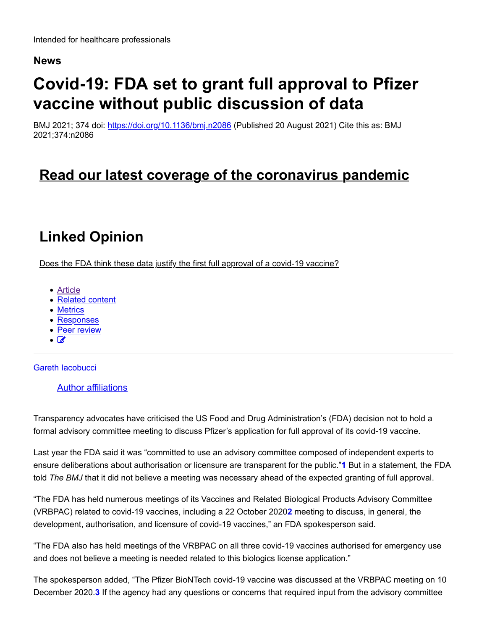### **News**

# **Covid-19: FDA set to grant full approval to Pfizer vaccine without public discussion of data**

BMJ 2021; 374 doi: https://doi.org/10.1136/bmj.n2086 (Published 20 August 2021) Cite this as: BMJ 2021;374:n2086

### **Read our latest coverage of the coronavirus pandemic**

# **Linked Opinion**

Does the FDA think these data justify the first full approval of a covid-19 vaccine?

- Article
- Related content
- Metrics
- Responses
- Peer review
- $\overline{\bullet}$

Gareth Iacobucci

Author affiliations

Transparency advocates have criticised the US Food and Drug Administration's (FDA) decision not to hold a formal advisory committee meeting to discuss Pfizer's application for full approval of its covid-19 vaccine.

Last year the FDA said it was "committed to use an advisory committee composed of independent experts to ensure deliberations about authorisation or licensure are transparent for the public."**1** But in a statement, the FDA told *The BMJ* that it did not believe a meeting was necessary ahead of the expected granting of full approval.

"The FDA has held numerous meetings of its Vaccines and Related Biological Products Advisory Committee (VRBPAC) related to covid-19 vaccines, including a 22 October 2020**2** meeting to discuss, in general, the development, authorisation, and licensure of covid-19 vaccines," an FDA spokesperson said.

"The FDA also has held meetings of the VRBPAC on all three covid-19 vaccines authorised for emergency use and does not believe a meeting is needed related to this biologics license application."

The spokesperson added, "The Pfizer BioNTech covid-19 vaccine was discussed at the VRBPAC meeting on 10 December 2020.**3** If the agency had any questions or concerns that required input from the advisory committee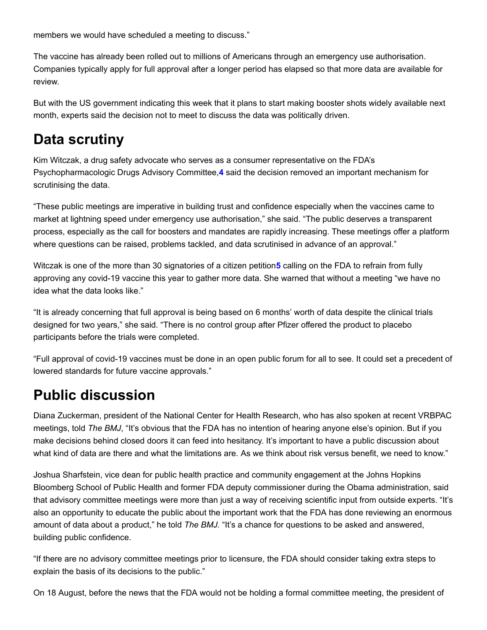members we would have scheduled a meeting to discuss."

The vaccine has already been rolled out to millions of Americans through an emergency use authorisation. Companies typically apply for full approval after a longer period has elapsed so that more data are available for review.

But with the US government indicating this week that it plans to start making booster shots widely available next month, experts said the decision not to meet to discuss the data was politically driven.

### **Data scrutiny**

Kim Witczak, a drug safety advocate who serves as a consumer representative on the FDA's Psychopharmacologic Drugs Advisory Committee,**4** said the decision removed an important mechanism for scrutinising the data.

"These public meetings are imperative in building trust and confidence especially when the vaccines came to market at lightning speed under emergency use authorisation," she said. "The public deserves a transparent process, especially as the call for boosters and mandates are rapidly increasing. These meetings offer a platform where questions can be raised, problems tackled, and data scrutinised in advance of an approval."

Witczak is one of the more than 30 signatories of a citizen petition**5** calling on the FDA to refrain from fully approving any covid-19 vaccine this year to gather more data. She warned that without a meeting "we have no idea what the data looks like."

"It is already concerning that full approval is being based on 6 months' worth of data despite the clinical trials designed for two years," she said. "There is no control group after Pfizer offered the product to placebo participants before the trials were completed.

"Full approval of covid-19 vaccines must be done in an open public forum for all to see. It could set a precedent of lowered standards for future vaccine approvals."

### **Public discussion**

Diana Zuckerman, president of the National Center for Health Research, who has also spoken at recent VRBPAC meetings, told *The BMJ*, "It's obvious that the FDA has no intention of hearing anyone else's opinion. But if you make decisions behind closed doors it can feed into hesitancy. It's important to have a public discussion about what kind of data are there and what the limitations are. As we think about risk versus benefit, we need to know."

Joshua Sharfstein, vice dean for public health practice and community engagement at the Johns Hopkins Bloomberg School of Public Health and former FDA deputy commissioner during the Obama administration, said that advisory committee meetings were more than just a way of receiving scientific input from outside experts. "It's also an opportunity to educate the public about the important work that the FDA has done reviewing an enormous amount of data about a product," he told *The BMJ.* "It's a chance for questions to be asked and answered, building public confidence.

"If there are no advisory committee meetings prior to licensure, the FDA should consider taking extra steps to explain the basis of its decisions to the public."

On 18 August, before the news that the FDA would not be holding a formal committee meeting, the president of